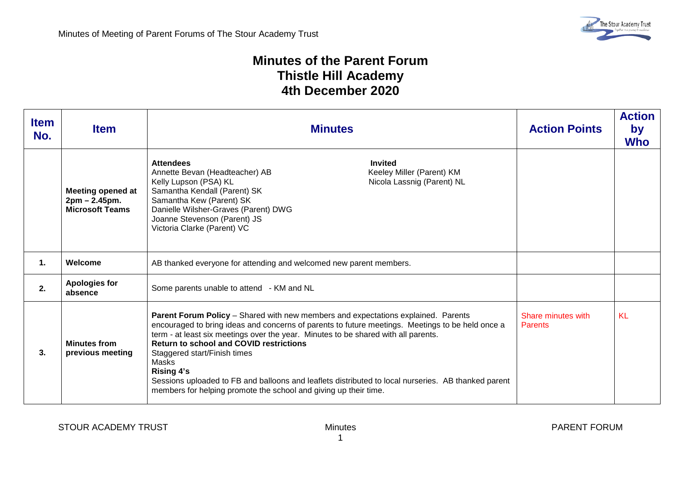## **Minutes of the Parent Forum Thistle Hill Academy 4th December 2020**

| <b>Item</b><br>No. | <b>Item</b>                                                         | <b>Minutes</b>                                                                                                                                                                                                                                                                                                                                                                                                                                                                                                                                                         | <b>Action Points</b>                 | <b>Action</b><br>by<br><b>Who</b> |
|--------------------|---------------------------------------------------------------------|------------------------------------------------------------------------------------------------------------------------------------------------------------------------------------------------------------------------------------------------------------------------------------------------------------------------------------------------------------------------------------------------------------------------------------------------------------------------------------------------------------------------------------------------------------------------|--------------------------------------|-----------------------------------|
|                    | <b>Meeting opened at</b><br>2pm - 2.45pm.<br><b>Microsoft Teams</b> | <b>Attendees</b><br><b>Invited</b><br>Keeley Miller (Parent) KM<br>Annette Bevan (Headteacher) AB<br>Kelly Lupson (PSA) KL<br>Nicola Lassnig (Parent) NL<br>Samantha Kendall (Parent) SK<br>Samantha Kew (Parent) SK<br>Danielle Wilsher-Graves (Parent) DWG<br>Joanne Stevenson (Parent) JS<br>Victoria Clarke (Parent) VC                                                                                                                                                                                                                                            |                                      |                                   |
| 1.                 | Welcome                                                             | AB thanked everyone for attending and welcomed new parent members.                                                                                                                                                                                                                                                                                                                                                                                                                                                                                                     |                                      |                                   |
| 2.                 | <b>Apologies for</b><br>absence                                     | Some parents unable to attend - KM and NL                                                                                                                                                                                                                                                                                                                                                                                                                                                                                                                              |                                      |                                   |
| 3.                 | <b>Minutes from</b><br>previous meeting                             | Parent Forum Policy - Shared with new members and expectations explained. Parents<br>encouraged to bring ideas and concerns of parents to future meetings. Meetings to be held once a<br>term - at least six meetings over the year. Minutes to be shared with all parents.<br><b>Return to school and COVID restrictions</b><br>Staggered start/Finish times<br>Masks<br><b>Rising 4's</b><br>Sessions uploaded to FB and balloons and leaflets distributed to local nurseries. AB thanked parent<br>members for helping promote the school and giving up their time. | Share minutes with<br><b>Parents</b> | <b>KL</b>                         |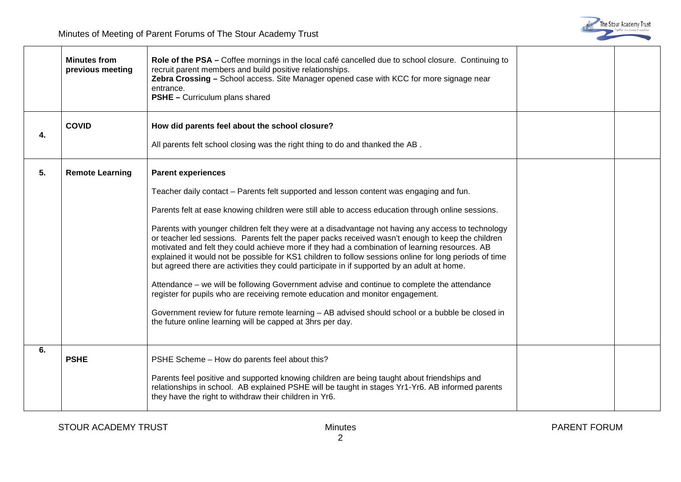|    | <b>Minutes from</b><br>previous meeting | Role of the PSA – Coffee mornings in the local café cancelled due to school closure. Continuing to<br>recruit parent members and build positive relationships.<br>Zebra Crossing - School access. Site Manager opened case with KCC for more signage near<br>entrance.<br><b>PSHE</b> - Curriculum plans shared                                                                                                                                                                                                                                                                                                                                                                                                                                                                                                                                                                                                                                                                                                                                                                                     |  |
|----|-----------------------------------------|-----------------------------------------------------------------------------------------------------------------------------------------------------------------------------------------------------------------------------------------------------------------------------------------------------------------------------------------------------------------------------------------------------------------------------------------------------------------------------------------------------------------------------------------------------------------------------------------------------------------------------------------------------------------------------------------------------------------------------------------------------------------------------------------------------------------------------------------------------------------------------------------------------------------------------------------------------------------------------------------------------------------------------------------------------------------------------------------------------|--|
| 4. | <b>COVID</b>                            | How did parents feel about the school closure?<br>All parents felt school closing was the right thing to do and thanked the AB.                                                                                                                                                                                                                                                                                                                                                                                                                                                                                                                                                                                                                                                                                                                                                                                                                                                                                                                                                                     |  |
| 5. | <b>Remote Learning</b>                  | <b>Parent experiences</b><br>Teacher daily contact - Parents felt supported and lesson content was engaging and fun.<br>Parents felt at ease knowing children were still able to access education through online sessions.<br>Parents with younger children felt they were at a disadvantage not having any access to technology<br>or teacher led sessions. Parents felt the paper packs received wasn't enough to keep the children<br>motivated and felt they could achieve more if they had a combination of learning resources. AB<br>explained it would not be possible for KS1 children to follow sessions online for long periods of time<br>but agreed there are activities they could participate in if supported by an adult at home.<br>Attendance – we will be following Government advise and continue to complete the attendance<br>register for pupils who are receiving remote education and monitor engagement.<br>Government review for future remote learning - AB advised should school or a bubble be closed in<br>the future online learning will be capped at 3hrs per day. |  |
| 6. | <b>PSHE</b>                             | PSHE Scheme - How do parents feel about this?<br>Parents feel positive and supported knowing children are being taught about friendships and<br>relationships in school. AB explained PSHE will be taught in stages Yr1-Yr6. AB informed parents<br>they have the right to withdraw their children in Yr6.                                                                                                                                                                                                                                                                                                                                                                                                                                                                                                                                                                                                                                                                                                                                                                                          |  |